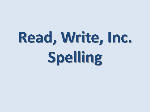# **Read, Write, Inc. Spelling**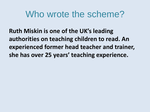### Who wrote the scheme?

**Ruth Miskin is one of the UK's leading authorities on teaching children to read. An experienced former head teacher and trainer, she has over 25 years' teaching experience.**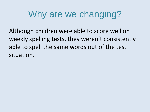### Why are we changing?

Although children were able to score well on weekly spelling tests, they weren't consistently able to spell the same words out of the test situation.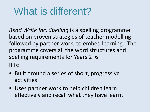## What is different?

*Read Write Inc. Spelling* is a spelling programme based on proven strategies of teacher modelling followed by partner work, to embed learning. The programme covers all the word structures and spelling requirements for Years 2–6.

It is:

- Built around a series of short, progressive activities
- Uses partner work to help children learn effectively and recall what they have learnt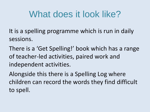### What does it look like?

It is a spelling programme which is run in daily sessions.

There is a 'Get Spelling!' book which has a range of teacher-led activities, paired work and independent activities.

Alongside this there is a Spelling Log where children can record the words they find difficult to spell.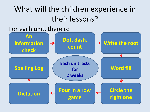### What will the children experience in their lessons?

#### For each unit, there is:

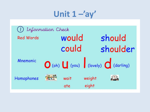Unit  $1 -'ay'$ 

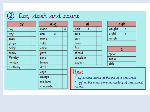#### Dot, dash and count  $\left[2\right]$

| day      | 2 |
|----------|---|
| way      |   |
| away     |   |
| stray    |   |
| delay    |   |
| today    |   |
| Monday   |   |
| holiday  |   |
| birthday |   |

| a-e ,     |  |  |
|-----------|--|--|
| made      |  |  |
| ate<br>₩  |  |  |
| make      |  |  |
| take      |  |  |
| came      |  |  |
| gave      |  |  |
| save      |  |  |
| brave     |  |  |
| date      |  |  |
| cage      |  |  |
| escape    |  |  |
| mistake   |  |  |
| chocolate |  |  |

| ai        |  |  |
|-----------|--|--|
| wait<br>₩ |  |  |
| paid      |  |  |
| pain      |  |  |
| train     |  |  |
| fail      |  |  |
| afraid    |  |  |
| complain  |  |  |
| explain   |  |  |

| eigh   |   |  |
|--------|---|--|
| weight | ۰ |  |
| eight  |   |  |
| weigh  |   |  |

| apron |  |
|-------|--|
| table |  |
| able  |  |

#### Tips:

- \* 'ay' always comes at the end of a root word
- \* 'a-e' is the most common spelling of this nowel saurd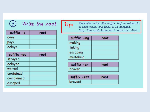| Write the root          |      |
|-------------------------|------|
| $s$ uffix $-s$          | root |
| days                    |      |
| pays                    |      |
| delays                  |      |
| suffix -ed              | root |
| a de composto de la Sal |      |

| suttix -ed | root |
|------------|------|
| strayed    |      |
| delayed    |      |
| waited     |      |
| contained  |      |
| complained |      |
| escaped    |      |

Tip:

Remember when the suffix 'ing' is added to a root word, the final 'e' is dropped.<br>Say: 'You can't have an E with an I-N-G

| suffix $-$ ing | root |
|----------------|------|
| making         |      |
| taking         |      |
| escaping       |      |
| mistaking      |      |

| suffix -er |  |
|------------|--|
| braver     |  |

| SUTTIX -est    |  |
|----------------|--|
| <b>Dravest</b> |  |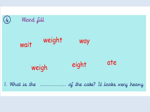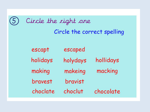| Circle the right one        |          |           |  |
|-----------------------------|----------|-----------|--|
| Circle the correct spelling |          |           |  |
|                             |          |           |  |
| escapt                      | escaped  |           |  |
| holidays                    | holydays | hollidays |  |
| making                      | makeing  | macking   |  |
| bravest                     | bravist  |           |  |
| choclate                    | choclut  | chocolate |  |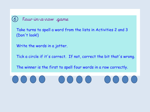#### Four-in-a-row game

 $(6)$ 

Take turns to spell a word from the lists in Activities 2 and 3 (Don't look!)

Write the words in a jotter.

Tick a circle if it's correct. If not, correct the bit that's wrong.

The winner is the first to spell four words in a row correctly.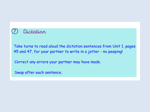#### Dictation

Take turns to read aloud the dictation sentences from Unit 1, pages 45 and 47, for your partner to write in a jotter - no peeping!

Correct any errors your partner may have made.

Swap after each sentence.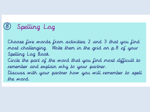### Spelling Log

Choose five words from activities 2 and 3 that you find most challenging. Write them in the grid on p. 8 of your Spelling Log Book. Circle the part of the word that you find most difficult to remember and explain why to your partner. Discuss with your partner how you will remember to spell the word.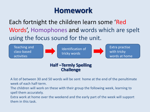### **Homework**

Each fortnight the children learn some 'Red Words', Homophones and words which are spelt using the focus sound for the unit.



A list of between 30 and 50 words will be sent home at the end of the penultimate week of each half-term.

The children will work on these with their group the following week, learning to spell them accurately.

Extra work at home over the weekend and the early part of the week will support them in this task.